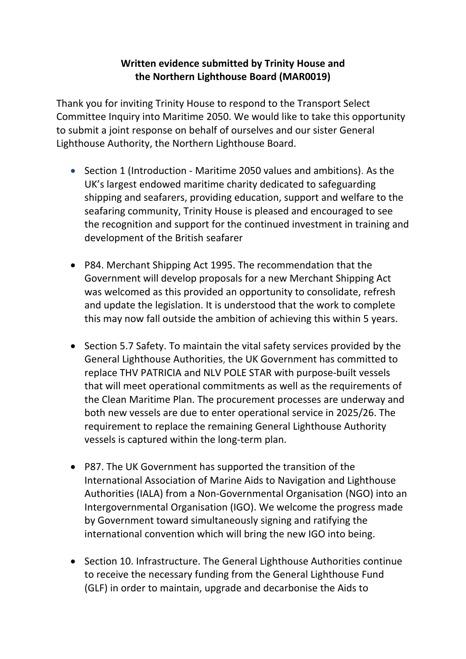## **Written evidence submitted by Trinity House and the Northern Lighthouse Board (MAR0019)**

Thank you for inviting Trinity House to respond to the Transport Select Committee Inquiry into Maritime 2050. We would like to take this opportunity to submit a joint response on behalf of ourselves and our sister General Lighthouse Authority, the Northern Lighthouse Board.

- Section 1 (Introduction Maritime 2050 values and ambitions). As the UK's largest endowed maritime charity dedicated to safeguarding shipping and seafarers, providing education, support and welfare to the seafaring community, Trinity House is pleased and encouraged to see the recognition and support for the continued investment in training and development of the British seafarer
- P84. Merchant Shipping Act 1995. The recommendation that the Government will develop proposals for a new Merchant Shipping Act was welcomed as this provided an opportunity to consolidate, refresh and update the legislation. It is understood that the work to complete this may now fall outside the ambition of achieving this within 5 years.
- Section 5.7 Safety. To maintain the vital safety services provided by the General Lighthouse Authorities, the UK Government has committed to replace THV PATRICIA and NLV POLE STAR with purpose-built vessels that will meet operational commitments as well as the requirements of the Clean Maritime Plan. The procurement processes are underway and both new vessels are due to enter operational service in 2025/26. The requirement to replace the remaining General Lighthouse Authority vessels is captured within the long-term plan.
- P87. The UK Government has supported the transition of the International Association of Marine Aids to Navigation and Lighthouse Authorities (IALA) from a Non-Governmental Organisation (NGO) into an Intergovernmental Organisation (IGO). We welcome the progress made by Government toward simultaneously signing and ratifying the international convention which will bring the new IGO into being.
- Section 10. Infrastructure. The General Lighthouse Authorities continue to receive the necessary funding from the General Lighthouse Fund (GLF) in order to maintain, upgrade and decarbonise the Aids to